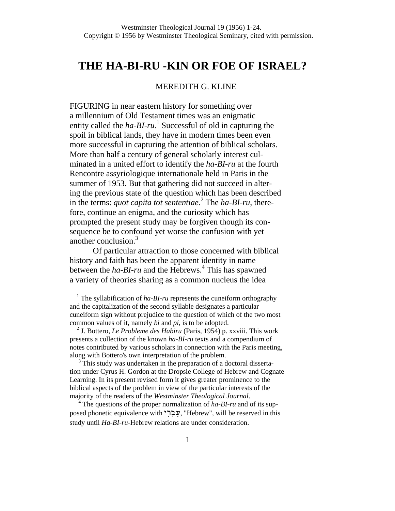# **THE HA-BI-RU -KIN OR FOE OF ISRAEL?**

# MEREDITH G. KLINE

FIGURING in near eastern history for something over a millennium of Old Testament times was an enigmatic entity called the  $ha-BI\text{-}ru$ <sup>1</sup> Successful of old in capturing the spoil in biblical lands, they have in modern times been even more successful in capturing the attention of biblical scholars. More than half a century of general scholarly interest culminated in a united effort to identify the *ha-BI-ru* at the fourth Rencontre assyriologique internationale held in Paris in the summer of 1953. But that gathering did not succeed in altering the previous state of the question which has been described in the terms: *quot capita tot sententiae*. 2 The *ha-BI-ru*, therefore, continue an enigma, and the curiosity which has prompted the present study may be forgiven though its consequence be to confound yet worse the confusion with yet another conclusion.<sup>3</sup>

Of particular attraction to those concerned with biblical history and faith has been the apparent identity in name between the *ha-BI-ru* and the Hebrews.<sup>4</sup> This has spawned a variety of theories sharing as a common nucleus the idea

<sup>1</sup> The syllabification of  $ha$ - $BI$ -ru represents the cuneiform orthography and the capitalization of the second syllable designates a particular cuneiform sign without prejudice to the question of which of the two most common values of it, namely *bi* and *pi*, is to be adopted.

<sup>2</sup> J. Bottero, *Le Probleme des Habiru* (Paris, 1954) p. xxviii. This work presents a collection of the known *ha-BI-ru* texts and a compendium of notes contributed by various scholars in connection with the Paris meeting, along with Bottero's own interpretation of the problem.

<sup>3</sup> This study was undertaken in the preparation of a doctoral dissertation under Cyrus H. Gordon at the Dropsie College of Hebrew and Cognate Learning. In its present revised form it gives greater prominence to the biblical aspects of the problem in view of the particular interests of the majority of the readers of the *Westminster Theological Journal*.

<sup>4</sup> The questions of the proper normalization of *ha-BI-ru* and of its supposed phonetic equivalence with "עבר, "Hebrew", will be reserved in this study until *Ha-BI-ru*-Hebrew relations are under consideration.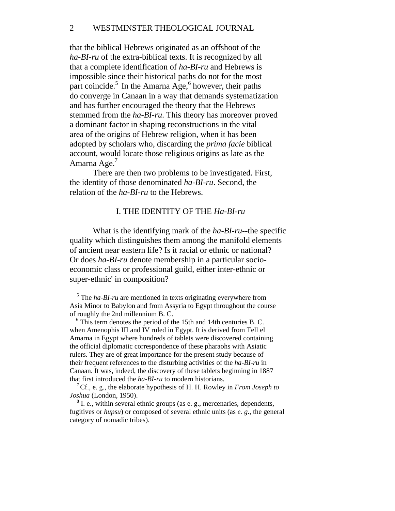# 2 WESTMINSTER THEOLOGICAL JOURNAL

that the biblical Hebrews originated as an offshoot of the *ha-BI-ru* of the extra-biblical texts. It is recognized by all that a complete identification of *ha-BI-ru* and Hebrews is impossible since their historical paths do not for the most part coincide.<sup>5</sup> In the Amarna Age,<sup>6</sup> however, their paths do converge in Canaan in a way that demands systematization and has further encouraged the theory that the Hebrews stemmed from the *ha-BI-ru*. This theory has moreover proved a dominant factor in shaping reconstructions in the vital area of the origins of Hebrew religion, when it has been adopted by scholars who, discarding the *prima facie* biblical account, would locate those religious origins as late as the Amarna Age.<sup>7</sup>

There are then two problems to be investigated. First, the identity of those denominated *ha-BI-ru*. Second, the relation of the *ha-BI-ru* to the Hebrews.

#### I. THE IDENTITY OF THE *Ha-BI-ru*

What is the identifying mark of the *ha-BI-ru*--the specific quality which distinguishes them among the manifold elements of ancient near eastern life? Is it racial or ethnic or national? Or does *ha-BI-ru* denote membership in a particular socioeconomic class or professional guild, either inter-ethnic or super-ethnic' in composition?

<sup>5</sup> The *ha-BI-ru* are mentioned in texts originating everywhere from Asia Minor to Babylon and from Assyria to Egypt throughout the course of roughly the 2nd millennium B. C.

 $6$  This term denotes the period of the 15th and 14th centuries B. C. when Amenophis III and IV ruled in Egypt. It is derived from Tell el Amarna in Egypt where hundreds of tablets were discovered containing the official diplomatic correspondence of these pharaohs with Asiatic rulers. They are of great importance for the present study because of their frequent references to the disturbing activities of the *ha-BI-ru* in Canaan. It was, indeed, the discovery of these tablets beginning in 1887 that first introduced the *ha-BI-ru* to modern historians.

<sup>7</sup> Cf., e. g., the elaborate hypothesis of H. H. Rowley in *From Joseph to Joshua* (London, 1950).

<sup>8</sup> I. e., within several ethnic groups (as e. g., mercenaries, dependents, fugitives or *hupsu*) or composed of several ethnic units (as *e. g*., the general category of nomadic tribes).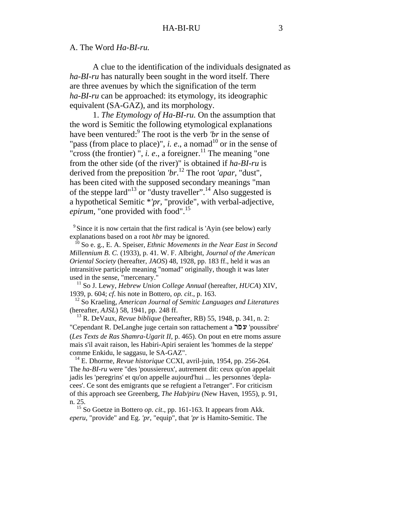# A. The Word *Ha-BI-ru.*

A clue to the identification of the individuals designated as *ha-BI-ru* has naturally been sought in the word itself. There are three avenues by which the signification of the term *ha-BI-ru* can be approached: its etymology, its ideographic equivalent (SA-GAZ), and its morphology.

1. *The Etymology of Ha-BI-ru.* On the assumption that the word is Semitic the following etymological explanations have been ventured:<sup>9</sup> The root is the verb *'br* in the sense of "pass (from place to place)", *i. e.*, a nomad<sup>10</sup> or in the sense of "cross (the frontier)  $\cdot$ , *i. e.*, a foreigner.<sup>11</sup> The meaning "one" from the other side (of the river)" is obtained if *ha-BI-ru* is derived from the preposition *'br*. 12 The root *'apar*, "dust", has been cited with the supposed secondary meanings "man of the steppe lard<sup>"13</sup> or "dusty traveller".<sup>14</sup> Also suggested is a hypothetical Semitic \**'pr*, "provide", with verbal-adjective, *epirum*, "one provided with food".<sup>15</sup>

<sup>9</sup> Since it is now certain that the first radical is 'Ayin (see below) early explanations based on a root *hbr* may be ignored.

<sup>10</sup> So e. g., E. A. Speiser, *Ethnic Movements in the Near East in Second Millennium B. C.* (1933), p. 41. W. F. Albright, *Journal of the American Oriental Society* (hereafter, *JAOS*) 48, 1928, pp. 183 ff., held it was an intransitive participle meaning "nomad" originally, though it was later used in the sense, "mercenary."

 11 So J. Lewy, *Hebrew Union College Annual* (hereafter, *HUCA*) XIV, 1939, p. 604; *cf*. his note in Bottero, *op. cit*., p. 163.

 12 So Kraeling, *American Journal of Semitic Languages and Literatures* (hereafter, *AJSL*) 58, 1941, pp. 248 ff.

 13 R. DeVaux, *Revue biblique* (hereafter, RB) 55, 1948, p. 341, n. 2: "Cependant R. DeLanghe juge certain son rattachement a "פלו" 'poussibre' (*Les Texts de Ras Shamra-Ugarit II*, p. 465). On pout en etre moms assure mais s'il avait raison, les Habiri-Apiri seraient les 'hommes de la steppe' comme Enkidu, le saggasu, le SA-GAZ".

 14 E. Dhorrne, *Revue historique* CCXI, avril-juin, 1954, pp. 256-264. The *ha-BI-ru* were "des 'poussiereux', autrement dit: ceux qu'on appelait jadis les 'peregrins' et qu'on appelle aujourd'hui ... les personnes 'deplacees'. Ce sont des emigrants que se refugient a l'etranger". For criticism of this approach see Greenberg, *The Hab/piru* (New Haven, 1955), p. 91, n. 25.

<sup>15</sup> So Goetze in Bottero *op. cit.*, pp. 161-163. It appears from Akk. *eperu*, "provide" and Eg. *'pr*, "equip", that *'pr* is Hamito-Semitic. The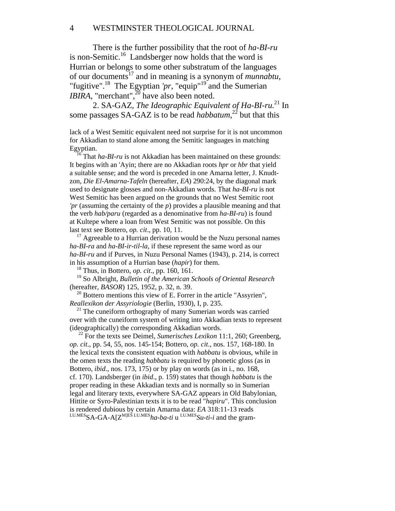There is the further possibility that the root of *ha-BI-ru* is non-Semitic.<sup>16</sup> Landsberger now holds that the word is Hurrian or belongs to some other substratum of the languages of our documents17 and in meaning is a synonym of *munnabtu*, "fugitive".<sup>18</sup> The Egyptian 'pr, "equip"<sup>19</sup> and the Sumerian *IBIRA*, "merchant", $^{20}$  have also been noted.

 2. SA-GAZ, *The Ideographic Equivalent of Ha-BI-ru.*21 In some passages SA-GAZ is to be read *habbatum*,<sup>22</sup> but that this

lack of a West Semitic equivalent need not surprise for it is not uncommon for Akkadian to stand alone among the Semitic languages in matching Egyptian.

<sup>16</sup> That *ha-BI-ru* is not Akkadian has been maintained on these grounds: It begins with an 'Ayin; there are no Akkadian roots *hpr* or *hbr* that yield a suitable sense; and the word is preceded in one Amarna letter, J. Knudtzon, *Die El-Amarna-Tafeln* (hereafter, *EA*) 290:24, by the diagonal mark used to designate glosses and non-Akkadian words. That *ha-BI-ru* is not West Semitic has been argued on the grounds that no West Semitic root *'pr* (assuming the certainty of the *p*) provides a plausible meaning and that the verb *hab/paru* (regarded as a denominative from *ha-BI-ru*) is found at Kultepe where a loan from West Semitic was not possible. On this last text see Bottero, *op. cit*., pp. 10, 11.

 $17$  Agreeable to a Hurrian derivation would be the Nuzu personal names *ha-BI-ra* and *ha-BI-ir-til-la*, if these represent the same word as our *ha-BI-ru* and if Purves, in Nuzu Personal Names (1943), p. 214, is correct in his assumption of a Hurrian base (*hapir*) for them.

18 Thus, in Bottero, *op. cit*., pp. 160, 161.

 19 So Albright, *Bulletin of the American Schools of Oriental Research*  (hereafter, *BASOR*) 125, 1952, p. 32, n. 39.

 $20$  Bottero mentions this view of E. Forrer in the article "Assyrien", *Reallexikon der Assyriologie* (Berlin, 1930), I, p. 235.

 $21$  The cuneiform orthography of many Sumerian words was carried over with the cuneiform system of writing into Akkadian texts to represent (ideographically) the corresponding Akkadian words.

<sup>22</sup> For the texts see Deimel, *Sumerisches Lexikon* 11:1, 260; Greenberg, *op. cit*., pp. 54, 55, nos. 145-154; Bottero, *op. cit*., nos. 157, 168-180. In the lexical texts the consistent equation with *habbatu* is obvious, while in the omen texts the reading *habbatu* is required by phonetic gloss (as in Bottero, *ibid*., nos. 173, 175) or by play on words (as in i., no. 168, cf. 170). Landsberger (in *ibid*., p. 159) states that though *habbatu* is the proper reading in these Akkadian texts and is normally so in Sumerian legal and literary texts, everywhere SA-GAZ appears in Old Babylonian, Hittite or Syro-Palestinian texts it is to be read "*hapiru*". This conclusion is rendered dubious by certain Amarna data: *EA* 318:11-13 reads LU.MESSA-GA-A[ZM]ES LU.MES*ha-ba-ti* u LU.MES*Su-ti-i* and the gram-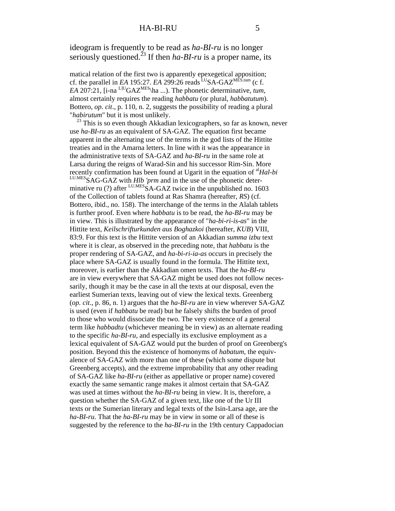ideogram is frequently to be read as *ha-BI-ru* is no longer seriously questioned.<sup>23</sup> If then *ha-BI-ru* is a proper name, its

matical relation of the first two is apparently epexegetical apposition; cf. the parallel in *EA* 195:27. *EA* 299:26 reads <sup>LU</sup>SA-GAZ<sup>MES</sup>.tum</sup> (c f. *EA* 207:21,  $[i$ -na <sup>LJU</sup>GAZ<sup>MES</sup>\ha ...). The phonetic determinative, *tum*, almost certainly requires the reading *habbatu* (or plural, *habbatutum*). Bottero, *op. cit*., p. 110, n. 2, suggests the possibility of reading a plural "*habirutum*" but it is most unlikely.

 $^{23}$  This is so even though Akkadian lexicographers, so far as known, never use *ha-BI-ru* as an equivalent of SA-GAZ. The equation first became apparent in the alternating use of the terms in the god lists of the Hittite treaties and in the Amarna letters. In line with it was the appearance in the administrative texts of SA-GAZ and *ha-BI-ru* in the same role at Larsa during the reigns of Warad-Sin and his successor Rim-Sin. More recently confirmation has been found at Ugarit in the equation of <sup>al</sup>Hal-bi<br><sup>LU.MES</sup>SAG-GAZ with *Hlb 'prm* and in the use of the phonetic determinative ru (?) after  $L_{\text{UMES}}$ SA-GAZ twice in the unpublished no. 1603 of the Collection of tablets found at Ras Shamra (hereafter, *RS*) (cf. Bottero, ibid., no. 158). The interchange of the terms in the Alalah tablets is further proof. Even where *habbatu* is to be read, the *ha-BI-ru* may be in view. This is illustrated by the appearance of "*ha-bi-ri-is-as*" in the Hittite text, *Keilschrifturkunden aus Boghazkoi* (hereafter, *KUB*) VIII, 83:9. For this text is the Hittite version of an Akkadian *summa izbu* text where it is clear, as observed in the preceding note, that *habbatu* is the proper rendering of SA-GAZ, and *ha-bi-ri-ia-as* occurs in precisely the place where SA-GAZ is usually found in the formula. The Hittite text, moreover, is earlier than the Akkadian omen texts. That the *ha-BI-ru* are in view everywhere that SA-GAZ might be used does not follow necessarily, though it may be the case in all the texts at our disposal, even the earliest Sumerian texts, leaving out of view the lexical texts. Greenberg (*op. cit*., p. 86, n. 1) argues that the *ha-BI-ru* are in view wherever SA-GAZ is used (even if *habbatu* be read) but he falsely shifts the burden of proof to those who would dissociate the two. The very existence of a general term like *habbadtu* (whichever meaning be in view) as an alternate reading to the specific *ha-BI-ru*, and especially its exclusive employment as a lexical equivalent of SA-GAZ would put the burden of proof on Greenberg's position. Beyond this the existence of homonyms of *habatum*, the equivalence of SA-GAZ with more than one of these (which some dispute but Greenberg accepts), and the extreme improbability that any other reading of SA-GAZ like *ha-BI-ru* (either as appellative or proper name) covered exactly the same semantic range makes it almost certain that SA-GAZ was used at times without the *ha-BI-ru* being in view. It is, therefore, a question whether the SA-GAZ of a given text, like one of the Ur III texts or the Sumerian literary and legal texts of the Isin-Larsa age, are the *ha-BI-ru*. That the *ha-BI-ru* may be in view in some or all of these is suggested by the reference to the *ha-BI-ru* in the 19th century Cappadocian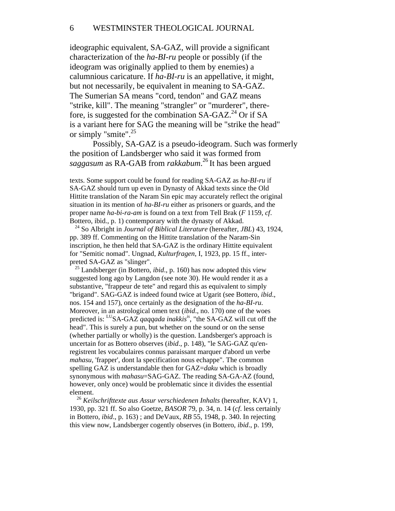# 6 WESTMINSTER THEOLOGICAL JOURNAL

ideographic equivalent, SA-GAZ, will provide a significant characterization of the *ha-BI-ru* people or possibly (if the ideogram was originally applied to them by enemies) a calumnious caricature. If *ha-BI-ru* is an appellative, it might, but not necessarily, be equivalent in meaning to SA-GAZ. The Sumerian SA means "cord, tendon" and GAZ means "strike, kill". The meaning "strangler" or "murderer", therefore, is suggested for the combination SA-GAZ.<sup>24</sup> Or if SA is a variant here for SAG the meaning will be "strike the head" or simply "smite".<sup>25</sup>

Possibly, SA-GAZ is a pseudo-ideogram. Such was formerly the position of Landsberger who said it was formed from *saggasum* as RA-GAB from *rakkabum*. 26 It has been argued

texts. Some support could be found for reading SA-GAZ as *ha-BI-ru* if SA-GAZ should turn up even in Dynasty of Akkad texts since the Old Hittite translation of the Naram Sin epic may accurately reflect the original situation in its mention of *ha-BI-ru* either as prisoners or guards, and the proper name *ha-bi-ra-am* is found on a text from Tell Brak (*F* 1159, *cf*. Bottero, ibid., p. 1) contemporary with the dynasty of Akkad.

 24 So Albright in *Journal of Biblical Literature* (hereafter, *JBL*) 43, 1924, pp. 389 ff. Commenting on the Hittite translation of the Naram-Sin inscription, he then held that SA-GAZ is the ordinary Hittite equivalent for "Semitic nomad". Ungnad, *Kulturfragen*, I, 1923, pp. 15 ff., interpreted SA-GAZ as "slinger".

 25 Landsberger (in Bottero, *ibid*., p. 160) has now adopted this view suggested long ago by Langdon (see note 30). He would render it as a substantive, "frappeur de tete" and regard this as equivalent to simply "brigand". SAG-GAZ is indeed found twice at Ugarit (see Bottero, *ibid*., nos. 154 and 157), once certainly as the designation of the *ha-BI-ru*. Moreover, in an astrological omen text (*ibid*., no. 170) one of the woes predicted is: <sup>LU</sup>SA-GAZ *qaqqada inakkis<sup>is</sup>*, "the SA-GAZ will cut off the head". This is surely a pun, but whether on the sound or on the sense (whether partially or wholly) is the question. Landsberger's approach is uncertain for as Bottero observes (*ibid*., p. 148), "le SAG-GAZ qu'enregistrent les vocabulaires connus paraissant marquer d'abord un verbe *mahasu*, 'frapper', dont la specification nous echappe". The common spelling GAZ is understandable then for GAZ=*daku* which is broadly synonymous with *mahasu*=SAG-GAZ. The reading SA-GA-AZ (found, however, only once) would be problematic since it divides the essential element.

 <sup>26</sup> *Keilschrifttexte aus Assur verschiedenen Inhalts* (hereafter, KAV) 1, 1930, pp. 321 ff. So also Goetze, *BASOR* 79, p. 34, n. 14 (*cf*. less certainly in Bottero, *ibid*., p. 163) ; and DeVaux, *RB* 55, 1948, p. 340. In rejecting this view now, Landsberger cogently observes (in Bottero, *ibid*., p. 199,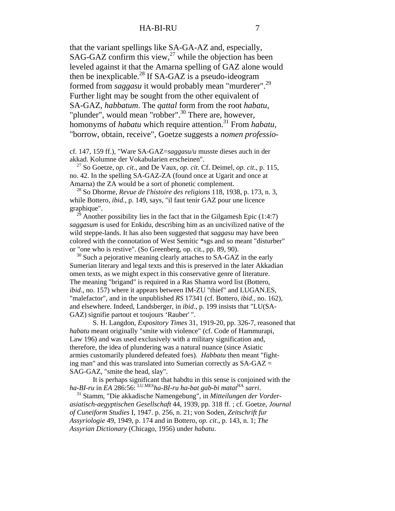that the variant spellings like SA-GA-AZ and, especially, SAG-GAZ confirm this view, $^{27}$  while the objection has been leveled against it that the Amarna spelling of GAZ alone would then be inexplicable.<sup>28</sup> If SA-GAZ is a pseudo-ideogram formed from *saggasu* it would probably mean "murderer".29 Further light may be sought from the other equivalent of SA-GAZ, *habbatum*. The *qattal* form from the root *habatu*, "plunder", would mean "robber".<sup>30</sup> There are, however, homonyms of *habatu* which require attention.<sup>31</sup> From *habatu*, "borrow, obtain, receive", Goetze suggests a *nomen professio*-

cf. 147, 159 ff.), "Ware SA-GAZ=*saggasu/u* musste dieses auch in der akkad. Kolumne der Vokabularien erscheinen".

 27 So Goetze, *op. cit*., and De Vaux, *op. cit*. Cf. Deimel, *op. cit*., p. 115, no. 42. In the spelling SA-GAZ-ZA (found once at Ugarit and once at Amarna) the ZA would be a sort of phonetic complement.

 28 So Dhorme, *Revue de l'histoire des religions* 118, 1938, p. 173, n. 3, while Bottero, *ibid*., p. 149, says, "il faut tenir GAZ pour une licence graphique".

<sup>2</sup> Another possibility lies in the fact that in the Gilgamesh Epic  $(1:4:7)$ *saggasum* is used for Enkidu, describing him as an uncivilized native of the wild steppe-lands. It has also been suggested that *saggasu* may have been colored with the connotation of West Semitic \*sgs and so meant "disturber" or "one who is restive". (So Greenberg, op. cit., pp. 89, 90).

 $30$  Such a pejorative meaning clearly attaches to SA-GAZ in the early Sumerian literary and legal texts and this is preserved in the later Akkadian omen texts, as we might expect in this conservative genre of literature. The meaning "brigand" is required in a Ras Shamra word list (Bottero, *ibid*., no. 157) where it appears between IM-ZU "thief" and LUGAN.ES, "malefactor", and in the unpublished *RS* 17341 (cf. Bottero, *ibid*., no. 162), and elsewhere. Indeed, Landsberger, in *ibid*., p. 199 insists that "LU(SA-GAZ) signifie partout et toujours 'Rauber' ".

S. H. Langdon, *Expository Times* 31, 1919-20, pp. 326-7, reasoned that *habatu* meant originally "smite with violence" (cf. Code of Hammurapi, Law 196) and was used exclusively with a military signification and, therefore, the idea of plundering was a natural nuance (since Asiatic armies customarily plundered defeated foes). *Habbatu* then meant "fighting man" and this was translated into Sumerian correctly as  $SA-GAZ =$ SAG-GAZ, "smite the head, slay".

It is perhaps significant that habdtu in this sense is conjoined with the *ha-BI-ru* in *EA* 286:56: LU.MES*ha-BI-ru ha-bat gab-bi matat*HA *sarri*.

 31 Stamm, "Die akkadische Namengebung", in *Mitteilungen der Vorderasiatisch-aegyptischen Gesellschaft* 44, 1939, pp. 318 ff. ; cf. Goetze, *Journal of Cuneiform Studies* I, 1947. p. 256, n. 21; von Soden, *Zeitschrift fur Assyriologie* 49, 1949, p. 174 and in Bottero, *op. cit*., p. 143, n. 1; *The Assyrian Dictionary* (Chicago, 1956) under *habatu*.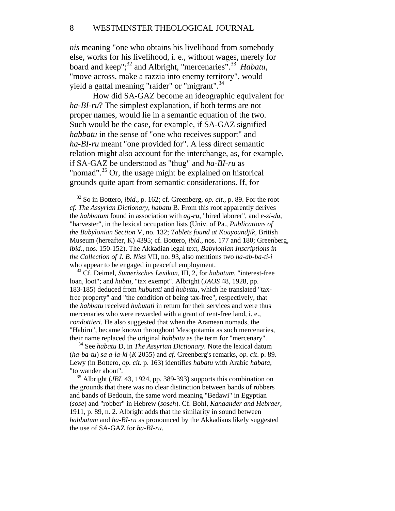*nis* meaning "one who obtains his livelihood from somebody else, works for his livelihood, i. e., without wages, merely for board and keep";<sup>32</sup> and Albright, "mercenaries".<sup>33</sup> *Habatu*, "move across, make a razzia into enemy territory", would yield a gattal meaning "raider" or "migrant".<sup>34</sup>

How did SA-GAZ become an ideographic equivalent for *ha-BI-ru*? The simplest explanation, if both terms are not proper names, would lie in a semantic equation of the two. Such would be the case, for example, if SA-GAZ signified *habbatu* in the sense of "one who receives support" and *ha-BI-ru* meant "one provided for". A less direct semantic relation might also account for the interchange, as, for example, if SA-GAZ be understood as "thug" and *ha-BI-ru* as "nomad".<sup>35</sup> Or, the usage might be explained on historical grounds quite apart from semantic considerations. If, for

 32 So in Bottero, *ibid*., p. 162; cf. Greenberg, *op. cit*., p. 89. For the root *cf. The Assyrian Dictionary*, *habatu* B. From this root apparently derives the *habbatum* found in association with *ag-ru*, "hired laborer", and *e-si-du*, "harvester", in the lexical occupation lists (Univ. of Pa., *Publications of the Babylonian Section* V, no. 132; *Tablets found at Kouyoundjik*, British Museum (hereafter, K) 4395; cf. Bottero, *ibid*., nos. 177 and 180; Greenberg, *ibid*., nos. 150-152). The Akkadian legal text, *Babylonian Inscriptions in the Collection of J. B. Nies* VII, no. 93, also mentions two *ha-ab-ba-ti-i*  who appear to be engaged in peaceful employment.

 33 Cf. Deimel, *Sumerisches Lexikon*, III, 2, for *habatum*, "interest-free loan, loot"; and *hubtu*, "tax exempt". Albright (*JAOS* 48, 1928, pp. 183-185) deduced from *hubutati* and *hubuttu*, which he translated "taxfree property" and "the condition of being tax-free", respectively, that the *habbatu* received *hubutati* in return for their services and were thus mercenaries who were rewarded with a grant of rent-free land, i. e., *condottieri*. He also suggested that when the Aramean nomads, the "Habiru", became known throughout Mesopotamia as such mercenaries, their name replaced the original *habbatu* as the term for "mercenary".

 34 See *habatu* D, in *The Assyrian Dictionary*. Note the lexical datum (*ha-ba-tu*) *sa a-la-ki* (*K* 2055) and *cf*. Greenberg's remarks, *op. cit*. p. 89. Lewy (in Bottero, *op. cit*. p. 163) identifies *habatu* with Arabic *habata*, "to wander about".

 35 Albright (*JBL* 43, 1924, pp. 389-393) supports this combination on the grounds that there was no clear distinction between bands of robbers and bands of Bedouin, the same word meaning "Bedawi" in Egyptian (*sose*) and "robber" in Hebrew (*soseh*). Cf. Bohl, *Kanaander and Hebraer*, 1911, p. 89, n. 2. Albright adds that the similarity in sound between *habbatum* and *ha-BI-ru* as pronounced by the Akkadians likely suggested the use of SA-GAZ for *ha-BI-ru*.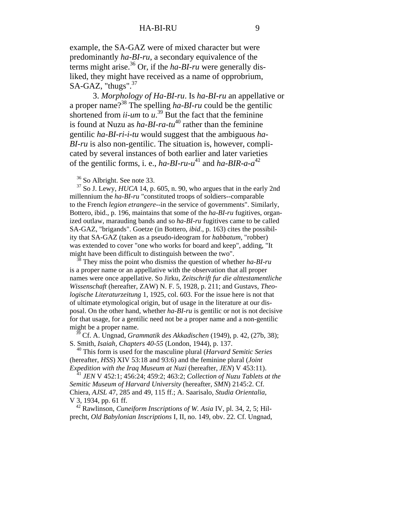example, the SA-GAZ were of mixed character but were predominantly *ha-BI-ru*, a secondary equivalence of the terms might arise.<sup>36</sup> Or, if the *ha-BI-ru* were generally disliked, they might have received as a name of opprobrium, SA-GAZ, "thugs".<sup>37</sup>

3. *Morphology of Ha-BI-ru*. Is *ha-BI-ru* an appellative or a proper name?38 The spelling *ha-BI-ru* could be the gentilic shortened from  $\overline{\mathfrak{u}}$ -um to  $\overline{\mathfrak{u}}$ .<sup>39</sup> But the fact that the feminine is found at Nuzu as  $ha-BI-ra-tu^{40}$  rather than the feminine gentilic *ha-BI-ri-i-tu* would suggest that the ambiguous *ha-BI-ru* is also non-gentilic. The situation is, however, complicated by several instances of both earlier and later varieties of the gentilic forms, i. e.,  $ha-BI-ru-u^{41}$  and  $ha-BIR-a-a^{42}$ 

36 So Albright. See note 33.

 37 So J. Lewy, *HUCA* 14, p. 605, n. 90, who argues that in the early 2nd millennium the *ha-BI-ru* "constituted troops of soldiers--comparable to the French *legion etrangere*--in the service of governments". Similarly, Bottero, ibid., p. 196, maintains that some of the *ha-BI-ru* fugitives, organized outlaw, marauding bands and so *ha-BI-ru* fugitives came to be called SA-GAZ, "brigands". Goetze (in Bottero, *ibid*., p. 163) cites the possibility that SA-GAZ (taken as a pseudo-ideogram for *habbatum*, "robber) was extended to cover "one who works for board and keep", adding, "It might have been difficult to distinguish between the two".

 38 They miss the point who dismiss the question of whether *ha-BI-ru* is a proper name or an appellative with the observation that all proper names were once appellative. So Jirku, *Zeitschrift fur die alttestamentliche Wissenschaft* (hereafter, ZAW) N. F. 5, 1928, p. 211; and Gustavs, *Theologische Literaturzeitung* 1, 1925, col. 603. For the issue here is not that of ultimate etymological origin, but of usage in the literature at our disposal. On the other hand, whether *ha-BI-ru* is gentilic or not is not decisive for that usage, for a gentilic need not be a proper name and a non-gentilic might be a proper name.

 39 Cf. A. Ungnad, *Grammatik des Akkadischen* (1949), p. 42, (27b, 38); S. Smith, *Isaiah, Chapters 40-55* (London, 1944), p. 137.

 40 This form is used for the masculine plural (*Harvard Semitic Series* (hereafter, *HSS*) XIV 53:18 and 93:6) and the feminine plural (*Joint Expedition with the Iraq Museum at Nuzi* (hereafter, *JEN*) V 453:11).

 <sup>41</sup> *JEN* V 452:1; 456:24; 459:2; 463:2; *Collection of Nuzu Tablets at the Semitic Museum of Harvard University* (hereafter, *SMN*) 2145:2. Cf. Chiera, *AJSL* 47, 285 and 49, 115 ff.; A. Saarisalo, *Studia Orientalia*, V 3, 1934, pp. 61 ff.

 42 Rawlinson, *Cuneiform Inscriptions of W. Asia* IV, pl. 34, 2, 5; Hilprecht, *Old Babylonian Inscriptions* I, II, no. 149, obv. 22. Cf. Ungnad,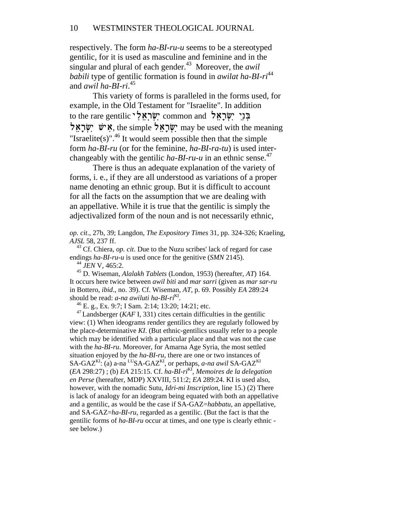respectively. The form *ha-BI-ru-u* seems to be a stereotyped gentilic, for it is used as masculine and feminine and in the singular and plural of each gender.<sup>43</sup> Moreover, the *awil babili* type of gentilic formation is found in *awilat ha-BI-ri*<sup>44</sup> and *awil ha-BI-ri*. 45

This variety of forms is paralleled in the forms used, for example, in the Old Testament for "Israelite". In addition to the rare gentilic "שְׂרָאֵלְ שְׁרַאל, the simple ישׂראל may be used with the meaning "Israelite(s)".<sup>46</sup> It would seem possible then that the simple form *ha-BI-ru* (or for the feminine, *ha-BI-ra-tu*) is used interchangeably with the gentilic  $ha-BI-ru-u$  in an ethnic sense.<sup>47</sup>

There is thus an adequate explanation of the variety of forms, i. e., if they are all understood as variations of a proper name denoting an ethnic group. But it is difficult to account for all the facts on the assumption that we are dealing with an appellative. While it is true that the gentilic is simply the adjectivalized form of the noun and is not necessarily ethnic,

*op. cit*., 27b, 39; Langdon, *The Expository Times* 31, pp. 324-326; Kraeling, *AJSL* 58, 237 ff.

 43 Cf. Chiera, *op. cit*. Due to the Nuzu scribes' lack of regard for case endings *ha-BI-ru-u* is used once for the genitive (*SMN* 2145).

<sup>44</sup> *JEN* V, 465:2.

 45 D. Wiseman, *Alalakh Tablets* (London, 1953) (hereafter, *AT*) 164. It occurs here twice between *awil biti* and *mar sarri* (given as *mar sar-ru* in Bottero, *ibid*., no. 39). Cf. Wiseman, *AT*, p. 69. Possibly *EA* 289:24 should be read: *a-na awiluti ha-BI-ri*<sup>KI</sup>.

 $^{46}$  E. g., Ex. 9:7; I Sam. 2:14; 13:20; 14:21; etc.

<sup>47</sup> Landsberger (*KAF* I, 331) cites certain difficulties in the gentilic view: (1) When ideograms render gentilics they are regularly followed by the place-determinative *KI*. (But ethnic-gentilics usually refer to a people which may be identified with a particular place and that was not the case with the *ha-BI-ru*. Moreover, for Amarna Age Syria, the most settled situation enjoyed by the *ha-BI-ru*, there are one or two instances of SA-GAZ<sup>KI</sup>: (a) a-na <sup>LU</sup>SA-GAZ<sup>KI</sup>, or perhaps, *a-na awil* SA-GAZ<sup>KI</sup> (*EA* 298:27) ; (b) *EA* 215:15. Cf. *ha-BI-ri*KI, *Memoires de la delegation en Perse* (hereafter, MDP) XXVIII, 511:2; *EA* 289:24. KI is used also, however, with the nomadic Sutu, *Idri-mi Inscription*, line 15.) (2) There is lack of analogy for an ideogram being equated with both an appellative and a gentilic, as would be the case if SA-GAZ=*habbatu*, an appellative, and SA-GAZ=*ha-BI-ru*, regarded as a gentilic. (But the fact is that the gentilic forms of *ha-BI-ru* occur at times, and one type is clearly ethnic see below.)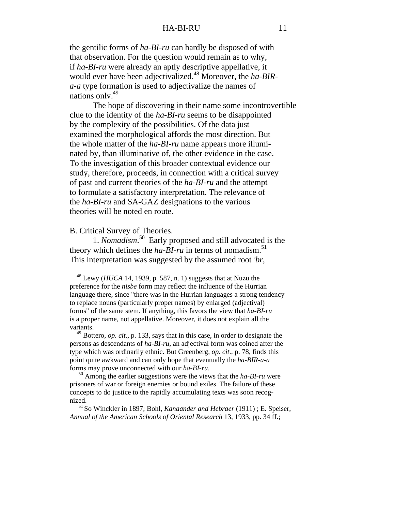the gentilic forms of *ha-BI-ru* can hardly be disposed of with that observation. For the question would remain as to why, if *ha-BI-ru* were already an aptly descriptive appellative, it would ever have been adjectivalized.48 Moreover, the *ha-BIRa-a* type formation is used to adjectivalize the names of nations only.<sup>49</sup>

The hope of discovering in their name some incontrovertible clue to the identity of the *ha-BI-ru* seems to be disappointed by the complexity of the possibilities. Of the data just examined the morphological affords the most direction. But the whole matter of the *ha-BI-ru* name appears more illuminated by, than illuminative of, the other evidence in the case. To the investigation of this broader contextual evidence our study, therefore, proceeds, in connection with a critical survey of past and current theories of the *ha-BI-ru* and the attempt to formulate a satisfactory interpretation. The relevance of the *ha-BI-ru* and SA-GAZ designations to the various theories will be noted en route.

# B. Critical Survey of Theories.

1. *Nomadism*. 50 Early proposed and still advocated is the theory which defines the  $ha-BI-ru$  in terms of nomadism.<sup>51</sup> This interpretation was suggested by the assumed root *'br*,

 48 Lewy (*HUCA* 14, 1939, p. 587, n. 1) suggests that at Nuzu the preference for the *nisbe* form may reflect the influence of the Hurrian language there, since "there was in the Hurrian languages a strong tendency to replace nouns (particularly proper names) by enlarged (adjectival) forms" of the same stem. If anything, this favors the view that *ha-BI-ru* is a proper name, not appellative. Moreover, it does not explain all the variants.

 49 Bottero, *op. cit*., p. 133, says that in this case, in order to designate the persons as descendants of *ha-BI-ru*, an adjectival form was coined after the type which was ordinarily ethnic. But Greenberg, *op. cit*., p. 78, finds this point quite awkward and can only hope that eventually the *ha-BIR-a-a* forms may prove unconnected with our *ha-BI-ru*.

 50 Among the earlier suggestions were the views that the *ha-BI-ru* were prisoners of war or foreign enemies or bound exiles. The failure of these concepts to do justice to the rapidly accumulating texts was soon recognized.

 51 So Winckler in 1897; Bohl, *Kanaander and Hebraer* (1911) ; E. Speiser, *Annual of the American Schools of Oriental Research* 13, 1933, pp. 34 ff.;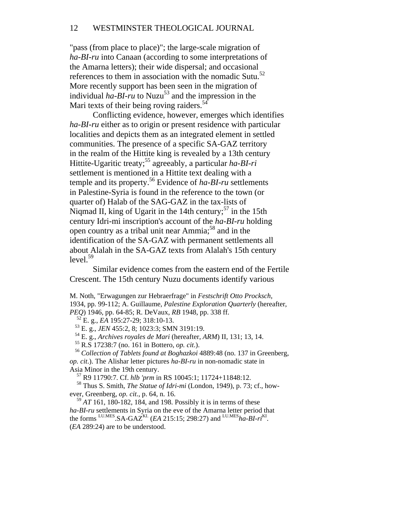# 12 WESTMINSTER THEOLOGICAL JOURNAL

"pass (from place to place)"; the large-scale migration of *ha-BI-ru* into Canaan (according to some interpretations of the Amarna letters); their wide dispersal; and occasional references to them in association with the nomadic Sutu.<sup>52</sup> More recently support has been seen in the migration of individual  $ha$ - $BI$ -ru to Nuzu<sup>53</sup> and the impression in the Mari texts of their being roving raiders. $54$ 

Conflicting evidence, however, emerges which identifies *ha-BI-ru* either as to origin or present residence with particular localities and depicts them as an integrated element in settled communities. The presence of a specific SA-GAZ territory in the realm of the Hittite king is revealed by a 13th century Hittite-Ugaritic treaty;55 agreeably, a particular *ha-BI-ri* settlement is mentioned in a Hittite text dealing with a temple and its property.56 Evidence of *ha-BI-ru* settlements in Palestine-Syria is found in the reference to the town (or quarter of) Halab of the SAG-GAZ in the tax-lists of Niqmad II, king of Ugarit in the 14th century;  $57$  in the 15th century Idri-mi inscription's account of the *ha-BI-ru* holding open country as a tribal unit near Ammia;<sup>58</sup> and in the identification of the SA-GAZ with permanent settlements all about Alalah in the SA-GAZ texts from Alalah's 15th century  $level.<sup>59</sup>$ 

Similar evidence comes from the eastern end of the Fertile Crescent. The 15th century Nuzu documents identify various

M. Noth, "Erwagungen zur Hebraerfrage" in *Festschrift Otto Procksch*, 1934, pp. 99-112; A. Guillaume, *Palestine Exploration Quarterly* (hereafter, *PEQ*) 1946, pp. 64-85; R. DeVaux, *RB* 1948, pp. 338 ff.

52 E. g., *EA* 195:27-29; 318:10-13.

53 E. g., *JEN* 455:2, 8; 1023:3; SMN 3191:19.

54 E. g., *Archives royales de Mari* (hereafter, *ARM*) II, 131; 13, 14.

55 R.S 17238:7 (no. 161 in Bottero, *op. cit*.).

 <sup>56</sup> *Collection of Tablets found at Boghazkoi* 4889:48 (no. 137 in Greenberg, *op. cit*.). The Alishar letter pictures *ha-BI-ru* in non-nomadic state in Asia Minor in the 19th century.

57 R9 11790:7. Cf. *hlb 'prm* in RS 10045:1; 11724+11848:12.

 58 Thus S. Smith, *The Statue of Idri-mi* (London, 1949), p. 73; cf., however, Greenberg, *op. cit*., p. 64, n. 16.

 $59$  *AT* 161, 180-182, 184, and 198. Possibly it is in terms of these *ha-BI-ru* settlements in Syria on the eve of the Amarna letter period that the forms LU.MES.SA-GAZKI. (*EA* 215:15; 298:27) and LU.MES*ha-BI-ri*KI. (*EA* 289:24) are to be understood.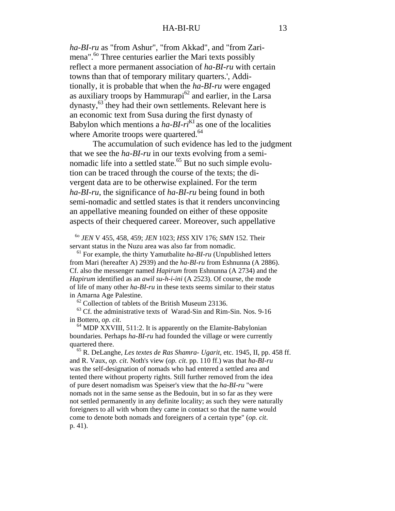*ha-BI-ru* as "from Ashur", "from Akkad", and "from Zarimena".<sup>60</sup> Three centuries earlier the Mari texts possibly reflect a more permanent association of *ha-BI-ru* with certain towns than that of temporary military quarters.', Additionally, it is probable that when the *ha-BI-ru* were engaged as auxiliary troops by Hammurapi $^{62}$  and earlier, in the Larsa dynasty,63 they had their own settlements. Relevant here is an economic text from Susa during the first dynasty of Babylon which mentions a *ha-BI-ri*<sup>KI</sup> as one of the localities where Amorite troops were quartered.<sup>64</sup>

The accumulation of such evidence has led to the judgment that we see the *ha-BI-ru* in our texts evolving from a seminomadic life into a settled state.<sup>65</sup> But no such simple evolution can be traced through the course of the texts; the divergent data are to be otherwise explained. For the term *ha-BI-ru*, the significance of *ha-BI-ru* being found in both semi-nomadic and settled states is that it renders unconvincing an appellative meaning founded on either of these opposite aspects of their chequered career. Moreover, such appellative

 6o *JEN* V 455, 458, 459; *JEN* 1023; *HSS* XIV 176; *SMN* 152. Their servant status in the Nuzu area was also far from nomadic.

 61 For example, the thirty Yamutbalite *ha-BI-ru* (Unpublished letters from Mari (hereafter A) 2939) and the *ha-BI-ru* from Eshnunna (A 2886). Cf. also the messenger named *Hapirum* from Eshnunna (A 2734) and the *Hapirum* identified as an *awil su-h-i-ini* (A 2523). Of course, the mode of life of many other *ha-BI-ru* in these texts seems similar to their status in Amarna Age Palestine.

 $62$  Collection of tablets of the British Museum 23136.

 63 Cf. the administrative texts of Warad-Sin and Rim-Sin. Nos. 9-16 in Bottero, *op. cit*.

 $64$  MDP XXVIII, 511:2. It is apparently on the Elamite-Babylonian boundaries. Perhaps *ha-BI-ru* had founded the village or were currently quartered there.

 65 R. DeLanghe, *Les textes de Ras Shamra- Ugarit*, etc. 1945, II, pp. 458 ff. and R. Vaux, *op. cit*. Noth's view (*op. cit*. pp. 110 ff.) was that *ha-BI-ru* was the self-designation of nomads who had entered a settled area and tented there without property rights. Still further removed from the idea of pure desert nomadism was Speiser's view that the *ha-BI-ru* "were nomads not in the same sense as the Bedouin, but in so far as they were not settled permanently in any definite locality; as such they were naturally foreigners to all with whom they came in contact so that the name would come to denote both nomads and foreigners of a certain type" (*op. cit*. p. 41).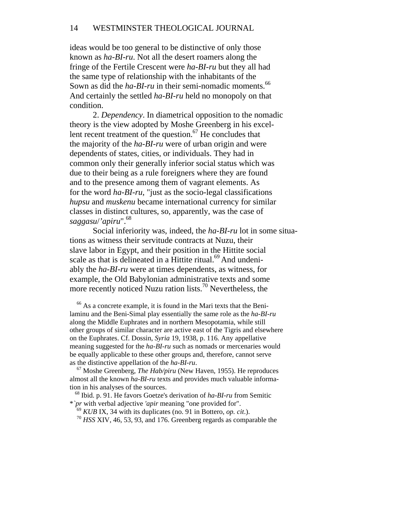# 14 WESTMINSTER THEOLOGICAL JOURNAL

ideas would be too general to be distinctive of only those known as *ha-BI-ru*. Not all the desert roamers along the fringe of the Fertile Crescent were *ha-BI-ru* but they all had the same type of relationship with the inhabitants of the Sown as did the *ha-BI-ru* in their semi-nomadic moments.<sup>66</sup> And certainly the settled *ha-BI-ru* held no monopoly on that condition.

2. *Dependency*. In diametrical opposition to the nomadic theory is the view adopted by Moshe Greenberg in his excellent recent treatment of the question. $67$  He concludes that the majority of the *ha-BI-ru* were of urban origin and were dependents of states, cities, or individuals. They had in common only their generally inferior social status which was due to their being as a rule foreigners where they are found and to the presence among them of vagrant elements. As for the word *ha-BI-ru*, "just as the socio-legal classifications *hupsu* and *muskenu* became international currency for similar classes in distinct cultures, so, apparently, was the case of *saggasu*/*'apiru*".68

Social inferiority was, indeed, the *ha-BI-ru* lot in some situations as witness their servitude contracts at Nuzu, their slave labor in Egypt, and their position in the Hittite social scale as that is delineated in a Hittite ritual.<sup>69</sup> And undeniably the *ha-BI-ru* were at times dependents, as witness, for example, the Old Babylonian administrative texts and some more recently noticed Nuzu ration lists.<sup>70</sup> Nevertheless, the

 66 As a concrete example, it is found in the Mari texts that the Benilaminu and the Beni-Simal play essentially the same role as the *ha-BI-ru* along the Middle Euphrates and in northern Mesopotamia, while still other groups of similar character are active east of the Tigris and elsewhere on the Euphrates. Cf. Dossin, *Syria* 19, 1938, p. 116. Any appellative meaning suggested for the *ha-BI-ru* such as nomads or mercenaries would be equally applicable to these other groups and, therefore, cannot serve as the distinctive appellation of the *ha-BI-ru*.

 67 Moshe Greenberg, *The Hab/piru* (New Haven, 1955). He reproduces almost all the known *ha-BI-ru* texts and provides much valuable information in his analyses of the sources.

 68 Ibid. p. 91. He favors Goetze's derivation of *ha-BI-ru* from Semitic \**`pr* with verbal adjective *'apir* meaning "one provided for".

<sup>69</sup> *KUB* IX, 34 with its duplicates (no. 91 in Bottero, *op. cit*.).

<sup>70</sup> *HSS* XIV, 46, 53, 93, and 176. Greenberg regards as comparable the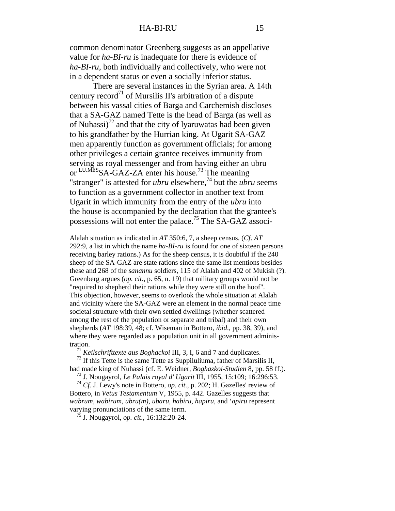common denominator Greenberg suggests as an appellative value for *ha-BI-ru* is inadequate for there is evidence of *ha-BI-ru*, both individually and collectively, who were not in a dependent status or even a socially inferior status.

There are several instances in the Syrian area. A 14th century record<sup>71</sup> of Mursilis II's arbitration of a dispute between his vassal cities of Barga and Carchemish discloses that a SA-GAZ named Tette is the head of Barga (as well as of Nuhassi)<sup>72</sup> and that the city of lyaruwatas had been given to his grandfather by the Hurrian king. At Ugarit SA-GAZ men apparently function as government officials; for among other privileges a certain grantee receives immunity from serving as royal messenger and from having either an ubru or LU.MESSA-GAZ-ZA enter his house.<sup>73</sup> The meaning "stranger" is attested for *ubru* elsewhere,<sup>74</sup> but the *ubru* seems to function as a government collector in another text from Ugarit in which immunity from the entry of the *ubru* into the house is accompanied by the declaration that the grantee's possessions will not enter the palace.75 The SA-GAZ associ-

Alalah situation as indicated in *AT* 350:6, 7, a sheep census. (*Cf*. *AT* 292:9, a list in which the name *ha-BI-ru* is found for one of sixteen persons receiving barley rations.) As for the sheep census, it is doubtful if the 240 sheep of the SA-GAZ are state rations since the same list mentions besides these and 268 of the *sanannu* soldiers, 115 of Alalah and 402 of Mukish (?). Greenberg argues (*op. cit*., p. 65, n. 19) that military groups would not be "required to shepherd their rations while they were still on the hoof". This objection, however, seems to overlook the whole situation at Alalah and vicinity where the SA-GAZ were an element in the normal peace time societal structure with their own settled dwellings (whether scattered among the rest of the population or separate and tribal) and their own shepherds (*AT* 198:39, 48; cf. Wiseman in Bottero, *ibid*., pp. 38, 39), and where they were regarded as a population unit in all government administration.

<sup>71</sup> *Keilschrifttexte aus Boghackoi* III, 3, I, 6 and 7 and duplicates.

 $7<sup>2</sup>$  If this Tette is the same Tette as Suppiluliuma, father of Marsilis II, had made king of Nuhassi (cf. E. Weidner, *Boghazkoi-Studien* 8, pp. 58 ff.).

73 J. Nougayrol, *Le Palais royal d' Ugarit* III, 1955, 15:109; 16:296:53.

 <sup>74</sup> *Cf*. J. Lewy's note in Bottero, *op. cit*., p. 202; H. Gazelles' review of Bottero, in *Vetus Testamentum* V, 1955, p. 442. Gazelles suggests that *wabrum, wabirum, ubru(m), ubaru, habiru, hapiru*, and '*apiru* represent varying pronunciations of the same term.

75 J. Nougayrol, *op. cit*., 16:132:20-24.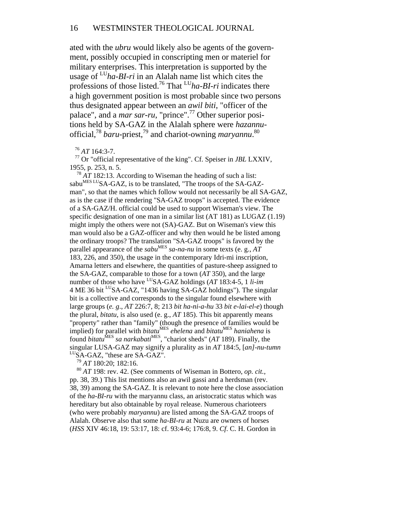ated with the *ubru* would likely also be agents of the government, possibly occupied in conscripting men or materiel for military enterprises. This interpretation is supported by the usage of LU*ha-BI-ri* in an Alalah name list which cites the professions of those listed.76 That LU*ha-BI-ri* indicates there a high government position is most probable since two persons thus designated appear between an *awil biti*, "officer of the palace", and a *mar sar-ru*, "prince".77 Other superior positions held by SA-GAZ in the Alalah sphere were *hazannu*official,78 *baru*-priest,79 and chariot-owning *maryannu*. 80

# <sup>76</sup> *AT* 164:3-7.

 77 Or "official representative of the king". Cf. Speiser in *JBL* LXXIV, 1955, p. 253, n. 5.

 $78 \,\mathrm{AT}$  182:13. According to Wiseman the heading of such a list: sabu<sup>MES LU</sup>SA-GAZ, is to be translated, "The troops of the SA-GAZman", so that the names which follow would not necessarily be all SA-GAZ, as is the case if the rendering "SA-GAZ troops" is accepted. The evidence of a SA-GAZ/H. official could be used to support Wiseman's view. The specific designation of one man in a similar list (AT 181) as LUGAZ (1.19) might imply the others were not (SA)-GAZ. But on Wiseman's view this man would also be a GAZ-officer and why then would he be listed among the ordinary troops? The translation "SA-GAZ troops" is favored by the parallel appearance of the *sabu*<sup>MES</sup> sa-na-nu in some texts (e. g., AT 183, 226, and 350), the usage in the contemporary Idri-mi inscription, Amarna letters and elsewhere, the quantities of pasture-sheep assigned to the SA-GAZ, comparable to those for a town (*AT* 350), and the large number of those who have LUSA-GAZ holdings (*AT* 183:4-5, 1 *li-im* 4 ME 36 bit <sup>LU</sup>SA-GAZ, "1436 having SA-GAZ holdings"). The singular bit is a collective and corresponds to the singular found elsewhere with large groups (*e. g*., *AT* 226:7, 8; 213 *bit ha-ni-a-hu* 33 *bit e-lai-el-e*) though the plural, *bitatu*, is also used (e. g., *AT* 185). This bit apparently means "property" rather than "family" (though the presence of families would be implied) for parallel with *bitatu<sup>MES</sup>* ehelena and *bitatu<sup>MES</sup>* haniahena is found *bitatu*<sup>MES</sup> *sa narkabati*<sup>MES</sup>, "chariot sheds" (*AT* 189). Finally, the singular LUSA-GAZ may signify a plurality as in *AT* 184:5, [*an]-nu-tumn* <sup>LU</sup>SA-GAZ, "these are SA-GAZ".

<sup>79</sup> *AT* 180:20; 182:16.

 <sup>80</sup> *AT* 198: rev. 42. (See comments of Wiseman in Bottero, *op. cit.*, pp. 38, 39.) This list mentions also an awil gassi and a herdsman (rev. 38, 39) among the SA-GAZ. It is relevant to note here the close association of the *ha-BI-ru* with the maryannu class, an aristocratic status which was hereditary but also obtainable by royal release. Numerous charioteers (who were probably *maryannu*) are listed among the SA-GAZ troops of Alalah. Observe also that some *ha-BI-ru* at Nuzu are owners of horses (*HSS* XIV 46:18, 19: 53:17, 18: cf. 93:4-6; 176:8, 9. *Cf*. C. H. Gordon in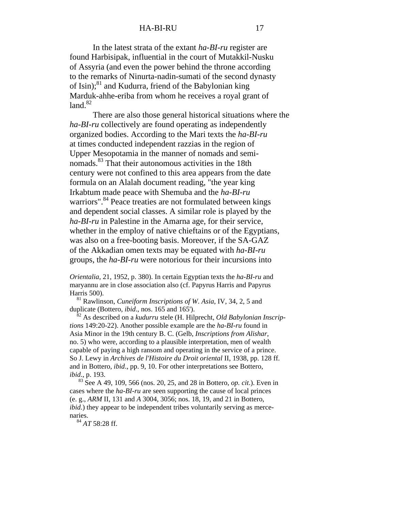In the latest strata of the extant *ha-BI-ru* register are found Harbisipak, influential in the court of Mutakkil-Nusku of Assyria (and even the power behind the throne according to the remarks of Ninurta-nadin-sumati of the second dynasty of Isin); $^{81}$  and Kudurra, friend of the Babylonian king Marduk-ahhe-eriba from whom he receives a royal grant of  $land.<sup>82</sup>$ 

There are also those general historical situations where the *ha-BI-ru* collectively are found operating as independently organized bodies. According to the Mari texts the *ha-BI-ru* at times conducted independent razzias in the region of Upper Mesopotamia in the manner of nomads and seminomads.83 That their autonomous activities in the 18th century were not confined to this area appears from the date formula on an Alalah document reading, "the year king Irkabtum made peace with Shemuba and the *ha-BI-ru* warriors".<sup>84</sup> Peace treaties are not formulated between kings and dependent social classes. A similar role is played by the *ha-BI-ru* in Palestine in the Amarna age, for their service, whether in the employ of native chieftains or of the Egyptians, was also on a free-booting basis. Moreover, if the SA-GAZ of the Akkadian omen texts may be equated with *ha-BI-ru* groups, the *ha-BI-ru* were notorious for their incursions into

*Orientalia*, 21, 1952, p. 380). In certain Egyptian texts the *ha-BI-ru* and maryannu are in close association also (cf. Papyrus Harris and Papyrus Harris 500).

 81 Rawlinson, *Cuneiform Inscriptions of W. Asia*, IV, 34, 2, 5 and duplicate (Bottero, *ibid*., nos. 165 and 165').

 82 As described on a *kudurru* stele (H. Hilprecht, *Old Babylonian Inscriptions* 149:20-22). Another possible example are the *ha-BI-ru* found in Asia Minor in the 19th century B. C. (Gelb, *Inscriptions from Alishar*, no. 5) who were, according to a plausible interpretation, men of wealth capable of paying a high ransom and operating in the service of a prince. So J. Lewy in *Archives de l'Histoire du Droit oriental* II, 1938, pp. 128 ff. and in Bottero, *ibid*., pp. 9, 10. For other interpretations see Bottero, *ibid*., p. 193.

 83 See A 49, 109, 566 (nos. 20, 25, and 28 in Bottero, *op. cit*.). Even in cases where the *ha-BI-ru* are seen supporting the cause of local princes (e. g., *ARM* II, 131 and *A* 3004, 3056; nos. 18, 19, and 21 in Bottero, *ibid*.) they appear to be independent tribes voluntarily serving as mercenaries.

<sup>84</sup> *AT* 58:28 ff.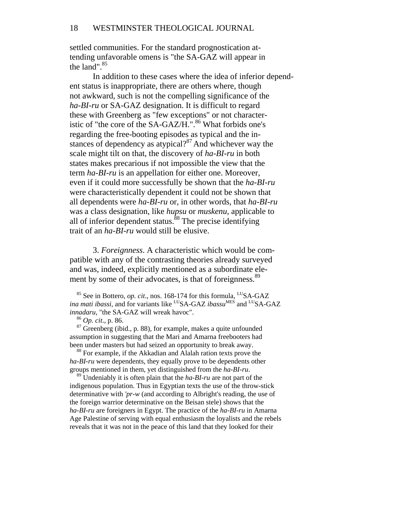settled communities. For the standard prognostication attending unfavorable omens is "the SA-GAZ will appear in the land". $85$ 

In addition to these cases where the idea of inferior dependent status is inappropriate, there are others where, though not awkward, such is not the compelling significance of the *ha-BI-ru* or SA-GAZ designation. It is difficult to regard these with Greenberg as "few exceptions" or not characteristic of "the core of the SA-GAZ/H.".<sup>86</sup> What forbids one's regarding the free-booting episodes as typical and the instances of dependency as atypical? $87$  And whichever way the scale might tilt on that, the discovery of *ha-BI-ru* in both states makes precarious if not impossible the view that the term *ha-BI-ru* is an appellation for either one. Moreover, even if it could more successfully be shown that the *ha-BI-ru* were characteristically dependent it could not be shown that all dependents were *ha-BI-ru* or, in other words, that *ha-BI-ru* was a class designation, like *hupsu* or *muskenu*, applicable to all of inferior dependent status.<sup>88</sup> The precise identifying trait of an *ha-BI-ru* would still be elusive.

3. *Foreignness*. A characteristic which would be compatible with any of the contrasting theories already surveyed and was, indeed, explicitly mentioned as a subordinate element by some of their advocates, is that of foreignness.<sup>89</sup>

<sup>85</sup> See in Bottero, *op. cit.*, nos. 168-174 for this formula, <sup>LU</sup>SA-GAZ *ina mati ibassi,* and for variants like <sup>LU</sup>SA-GAZ *ibassu*<sup>MES</sup> and <sup>LU</sup>SA-GAZ *innadaru*, "the SA-GAZ will wreak havoc".

<sup>86</sup> *Op. cit*., p. 86.

<sup>87</sup> Greenberg (ibid., p. 88), for example, makes a quite unfounded assumption in suggesting that the Mari and Amarna freebooters had been under masters but had seized an opportunity to break away.

<sup>88</sup> For example, if the Akkadian and Alalah ration texts prove the *ha-BI-ru* were dependents, they equally prove to be dependents other groups mentioned in them, yet distinguished from the *ha-BI-ru*.

 89 Undeniably it is often plain that the *ha-BI-ru* are not part of the indigenous population. Thus in Egyptian texts the use of the throw-stick determinative with *'pr-w* (and according to Albright's reading, the use of the foreign warrior determinative on the Beisan stele) shows that the *ha-BI-ru* are foreigners in Egypt. The practice of the *ha-BI-ru* in Amarna Age Palestine of serving with equal enthusiasm the loyalists and the rebels reveals that it was not in the peace of this land that they looked for their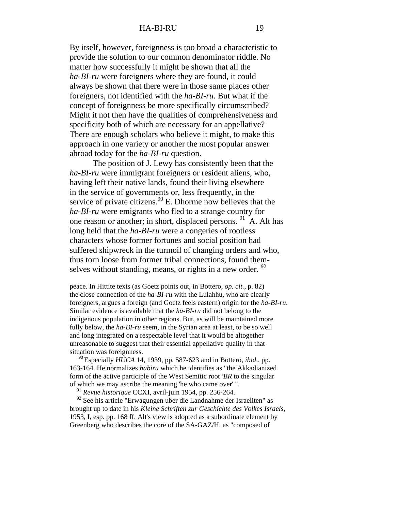By itself, however, foreignness is too broad a characteristic to provide the solution to our common denominator riddle. No matter how successfully it might be shown that all the *ha-BI-ru* were foreigners where they are found, it could always be shown that there were in those same places other foreigners, not identified with the *ha-BI-ru*. But what if the concept of foreignness be more specifically circumscribed? Might it not then have the qualities of comprehensiveness and specificity both of which are necessary for an appellative? There are enough scholars who believe it might, to make this approach in one variety or another the most popular answer abroad today for the *ha-BI-ru* question.

The position of J. Lewy has consistently been that the *ha-BI-ru* were immigrant foreigners or resident aliens, who, having left their native lands, found their living elsewhere in the service of governments or, less frequently, in the service of private citizens. $90$  E. Dhorme now believes that the *ha-BI-ru* were emigrants who fled to a strange country for one reason or another; in short, displaced persons. <sup>91</sup> A. Alt has long held that the *ha-BI-ru* were a congeries of rootless characters whose former fortunes and social position had suffered shipwreck in the turmoil of changing orders and who, thus torn loose from former tribal connections, found themselves without standing, means, or rights in a new order. <sup>92</sup>

peace. In Hittite texts (as Goetz points out, in Bottero, *op. cit.*, p. 82) the close connection of the *ha-BI-ru* with the Lulahhu, who are clearly foreigners, argues a foreign (and Goetz feels eastern) origin for the *ha-BI-ru*. Similar evidence is available that the *ha-BI-ru* did not belong to the indigenous population in other regions. But, as will be maintained more fully below, the *ha-BI-ru* seem, in the Syrian area at least, to be so well and long integrated on a respectable level that it would be altogether unreasonable to suggest that their essential appellative quality in that situation was foreignness.

 90 Especially *HUCA* 14, 1939, pp. 587-623 and in Bottero, *ibid*., pp. 163-164. He normalizes *habiru* which he identifies as "the Akkadianized form of the active participle of the West Semitic root *'BR* to the singular of which we may ascribe the meaning 'he who came over' ".

<sup>91</sup> *Revue historique* CCXI, avril-juin 1954, pp. 256-264.

<sup>92</sup> See his article "Erwagungen uber die Landnahme der Israeliten" as brought up to date in his *Kleine Schriften zur Geschichte des Volkes Israels,*  1953, I, esp. pp. 168 ff. Alt's view is adopted as a subordinate element by Greenberg who describes the core of the SA-GAZ/H. as "composed of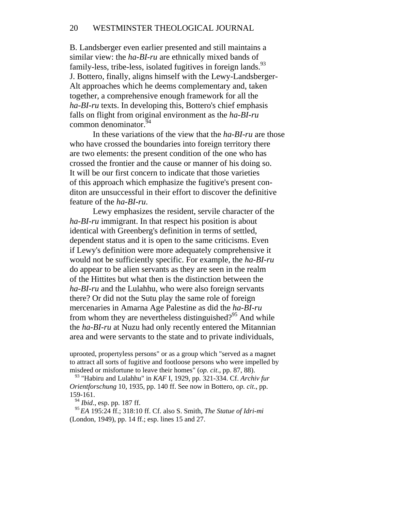B. Landsberger even earlier presented and still maintains a similar view: the *ha-BI-ru* are ethnically mixed bands of family-less, tribe-less, isolated fugitives in foreign lands.<sup>93</sup> J. Bottero, finally, aligns himself with the Lewy-Landsberger-Alt approaches which he deems complementary and, taken together, a comprehensive enough framework for all the *ha-BI-ru* texts. In developing this, Bottero's chief emphasis falls on flight from original environment as the *ha-BI-ru* common denominator.<sup>94</sup>

In these variations of the view that the *ha-BI-ru* are those who have crossed the boundaries into foreign territory there are two elements: the present condition of the one who has crossed the frontier and the cause or manner of his doing so. It will be our first concern to indicate that those varieties of this approach which emphasize the fugitive's present conditon are unsuccessful in their effort to discover the definitive feature of the *ha-BI-ru*.

Lewy emphasizes the resident, servile character of the *ha-BI-ru* immigrant. In that respect his position is about identical with Greenberg's definition in terms of settled, dependent status and it is open to the same criticisms. Even if Lewy's definition were more adequately comprehensive it would not be sufficiently specific. For example, the *ha-BI-ru* do appear to be alien servants as they are seen in the realm of the Hittites but what then is the distinction between the *ha-BI-ru* and the Lulahhu, who were also foreign servants there? Or did not the Sutu play the same role of foreign mercenaries in Amarna Age Palestine as did the *ha-BI-ru* from whom they are nevertheless distinguished?<sup>95</sup> And while the *ha-BI-ru* at Nuzu had only recently entered the Mitannian area and were servants to the state and to private individuals,

uprooted, propertyless persons" or as a group which "served as a magnet to attract all sorts of fugitive and footloose persons who were impelled by misdeed or misfortune to leave their homes" (*op. cit*., pp. 87, 88).

 93 "Habiru and Lulahhu" in *KAF* I, 1929, pp. 321-334. Cf. *Archiv fur Orientforschung* 10, 1935, pp. 140 ff. See now in Bottero, *op. cit*., pp. 159-161.

<sup>94</sup> *Ibid*., esp. pp. 187 ff.

 <sup>95</sup>*EA* 195:24 ff.; 318:10 ff. Cf. also S. Smith, *The Statue of Idri-mi* (London, 1949), pp. 14 ff.; esp. lines 15 and 27.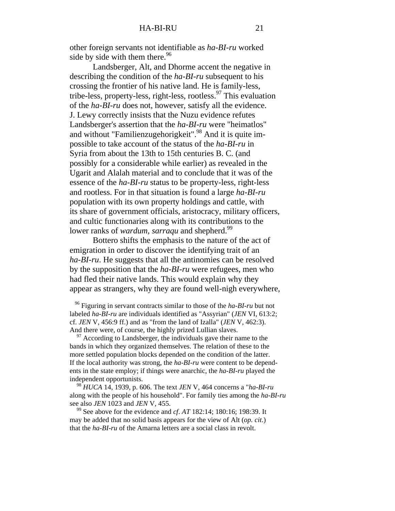other foreign servants not identifiable as *ha-BI-ru* worked side by side with them there.  $96$ 

Landsberger, Alt, and Dhorme accent the negative in describing the condition of the *ha-BI-ru* subsequent to his crossing the frontier of his native land. He is family-less, tribe-less, property-less, right-less, rootless.<sup>97</sup> This evaluation of the *ha-BI-ru* does not, however, satisfy all the evidence. J. Lewy correctly insists that the Nuzu evidence refutes Landsberger's assertion that the *ha-BI-ru* were "heimatlos" and without "Familienzugehorigkeit".<sup>98</sup> And it is quite impossible to take account of the status of the *ha-BI-ru* in Syria from about the 13th to 15th centuries B. C. (and possibly for a considerable while earlier) as revealed in the Ugarit and Alalah material and to conclude that it was of the essence of the *ha-BI-ru* status to be property-less, right-less and rootless. For in that situation is found a large *ha-BI-ru* population with its own property holdings and cattle, with its share of government officials, aristocracy, military officers, and cultic functionaries along with its contributions to the lower ranks of *wardum, sarraqu* and shepherd.<sup>99</sup>

Bottero shifts the emphasis to the nature of the act of emigration in order to discover the identifying trait of an *ha-BI-ru*. He suggests that all the antinomies can be resolved by the supposition that the *ha-BI-ru* were refugees, men who had fled their native lands. This would explain why they appear as strangers, why they are found well-nigh everywhere,

 96 Figuring in servant contracts similar to those of the *ha-BI-ru* but not labeled *ha-BI-ru* are individuals identified as "Assyrian" (*JEN* VI, 613:2; cf. *JEN* V, 456:9 ff.) and as "from the land of Izalla" (*JEN* V, 462:3). And there were, of course, the highly prized Lullian slaves.

 $97$  According to Landsberger, the individuals gave their name to the bands in which they organized themselves. The relation of these to the more settled population blocks depended on the condition of the latter. If the local authority was strong, the *ha-BI-ru* were content to be dependents in the state employ; if things were anarchic, the *ha-BI-ru* played the independent opportunists.

 <sup>98</sup> *HUCA* 14, 1939, p. 606. The text *JEN* V, 464 concerns a "*ha-BI-ru* along with the people of his household". For family ties among the *ha-BI-ru* see also *JEN* 1023 and *JEN* V, 455.

 99 See above for the evidence and *cf*. *AT* 182:14; 180:16; 198:39. It may be added that no solid basis appears for the view of Alt (*op. cit*.) that the *ha-BI-ru* of the Amarna letters are a social class in revolt.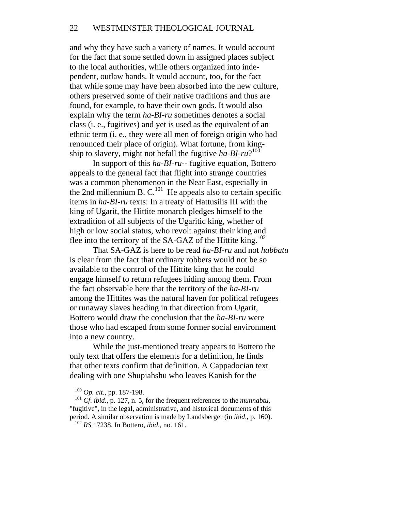and why they have such a variety of names. It would account for the fact that some settled down in assigned places subject to the local authorities, while others organized into independent, outlaw bands. It would account, too, for the fact that while some may have been absorbed into the new culture, others preserved some of their native traditions and thus are found, for example, to have their own gods. It would also explain why the term *ha-BI-ru* sometimes denotes a social class (i. e., fugitives) and yet is used as the equivalent of an ethnic term (i. e., they were all men of foreign origin who had renounced their place of origin). What fortune, from kingship to slavery, might not befall the fugitive *ha-BI-ru*?<sup>100</sup>

In support of this *ha-BI-ru*-- fugitive equation, Bottero appeals to the general fact that flight into strange countries was a common phenomenon in the Near East, especially in the 2nd millennium B.  $C^{101}$  He appeals also to certain specific items in *ha-BI-ru* texts: In a treaty of Hattusilis III with the king of Ugarit, the Hittite monarch pledges himself to the extradition of all subjects of the Ugaritic king, whether of high or low social status, who revolt against their king and flee into the territory of the SA-GAZ of the Hittite king.<sup>102</sup>

That SA-GAZ is here to be read *ha-BI-ru* and not *habbatu* is clear from the fact that ordinary robbers would not be so available to the control of the Hittite king that he could engage himself to return refugees hiding among them. From the fact observable here that the territory of the *ha-BI-ru* among the Hittites was the natural haven for political refugees or runaway slaves heading in that direction from Ugarit, Bottero would draw the conclusion that the *ha-BI-ru* were those who had escaped from some former social environment into a new country.

While the just-mentioned treaty appears to Bottero the only text that offers the elements for a definition, he finds that other texts confirm that definition. A Cappadocian text dealing with one Shupiahshu who leaves Kanish for the

<sup>100</sup> *Op. cit*., pp. 187-198.

<sup>101</sup> *Cf*. *ibid*., p. 127, n. 5, for the frequent references to the *munnabtu*, "fugitive", in the legal, administrative, and historical documents of this period. A similar observation is made by Landsberger (in *ibid*., p. 160).

<sup>102</sup> *RS* 17238. In Bottero, *ibid*., no. 161.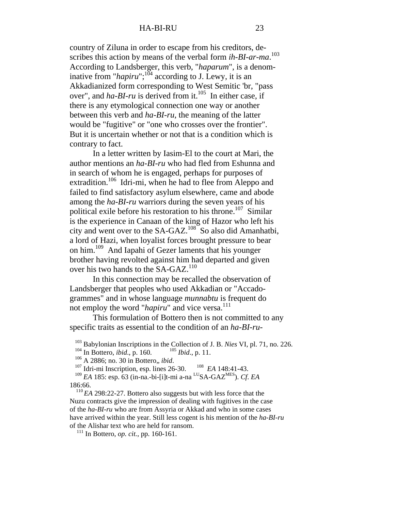country of Ziluna in order to escape from his creditors, describes this action by means of the verbal form *ih-BI-ar-ma*.<sup>103</sup> According to Landsberger, this verb, "*haparum*", is a denominative from "*hapiru*";<sup>104</sup> according to J. Lewy, it is an Akkadianized form corresponding to West Semitic 'br, "pass over", and *ha-BI-ru* is derived from it.<sup>105</sup> In either case, if there is any etymological connection one way or another between this verb and *ha-BI-ru*, the meaning of the latter would be "fugitive" or "one who crosses over the frontier". But it is uncertain whether or not that is a condition which is contrary to fact.

In a letter written by Iasim-El to the court at Mari, the author mentions an *ha-BI-ru* who had fled from Eshunna and in search of whom he is engaged, perhaps for purposes of extradition.<sup>106</sup> Idri-mi, when he had to flee from Aleppo and failed to find satisfactory asylum elsewhere, came and abode among the *ha-BI-ru* warriors during the seven years of his political exile before his restoration to his throne.<sup>107</sup> Similar is the experience in Canaan of the king of Hazor who left his city and went over to the SA-GAZ.<sup>108</sup> So also did Amanhatbi, a lord of Hazi, when loyalist forces brought pressure to bear on him.109 And Iapahi of Gezer laments that his younger brother having revolted against him had departed and given over his two hands to the SA-GAZ.<sup>110</sup>

In this connection may be recalled the observation of Landsberger that peoples who used Akkadian or "Accadogrammes" and in whose language *munnabtu* is frequent do not employ the word "*hapiru*" and vice versa.<sup>111</sup>

This formulation of Bottero then is not committed to any specific traits as essential to the condition of an *ha-BI-ru*-

103 Babylonian Inscriptions in the Collection of J. B. *Nies* VI, pl. 71, no. 226.

<sup>104</sup> In Bottero, *ibid.*, p. 160. <sup>105</sup> *Ibid.*, p. 11.

<sup>106</sup> A 2886; no. 30 in Bottero,, *ibid*.

107 Idri-mi Inscription, esp. lines 26-30. 108 *EA* 148:41-43.

 <sup>109</sup> *EA* 185: esp. 63 (in-na.-bi-[i]t-mi a-na LUSA-GAZMES). *Cf*. *EA* 186:66.

 <sup>110</sup>*EA* 298:22-27. Bottero also suggests but with less force that the Nuzu contracts give the impression of dealing with fugitives in the case of the *ha-BI-ru* who are from Assyria or Akkad and who in some cases have arrived within the year. Still less cogent is his mention of the *ha-BI-ru* of the Alishar text who are held for ransom.

<sup>111</sup> In Bottero, *op. cit.*, pp. 160-161.